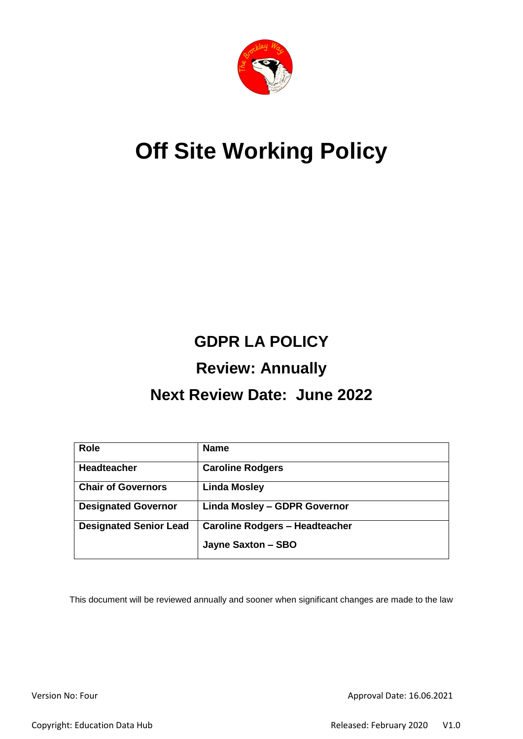

# **Off Site Working Policy**

## **GDPR LA POLICY**

### **Review: Annually**

### **Next Review Date: June 2022**

| <b>Role</b>                   | <b>Name</b>                           |
|-------------------------------|---------------------------------------|
| Headteacher                   | <b>Caroline Rodgers</b>               |
| <b>Chair of Governors</b>     | <b>Linda Mosley</b>                   |
| <b>Designated Governor</b>    | Linda Mosley - GDPR Governor          |
| <b>Designated Senior Lead</b> | <b>Caroline Rodgers - Headteacher</b> |
|                               | Jayne Saxton - SBO                    |

This document will be reviewed annually and sooner when significant changes are made to the law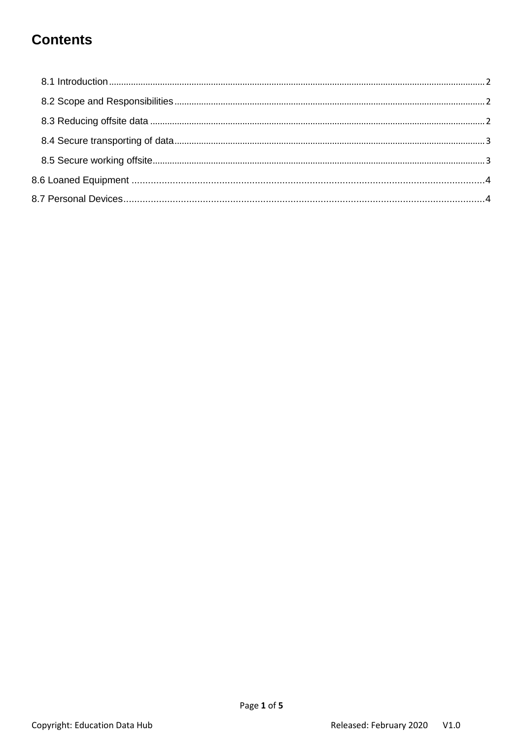### **Contents**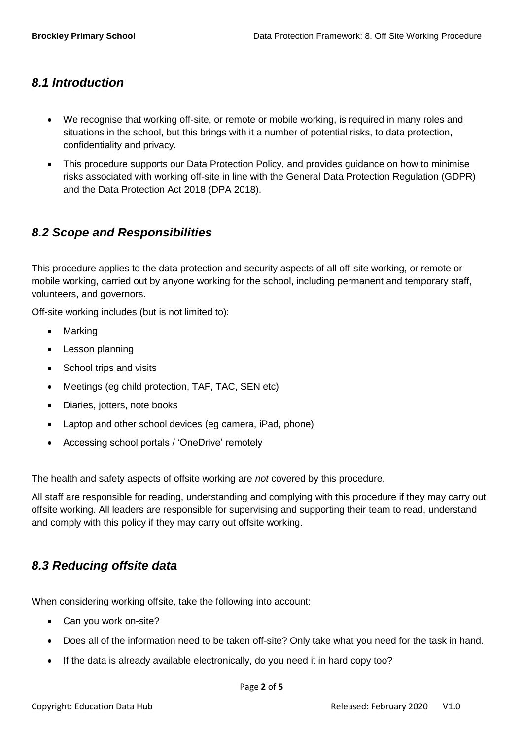#### <span id="page-2-0"></span>*8.1 Introduction*

- We recognise that working off-site, or remote or mobile working, is required in many roles and situations in the school, but this brings with it a number of potential risks, to data protection, confidentiality and privacy.
- This procedure supports our Data Protection Policy, and provides guidance on how to minimise risks associated with working off-site in line with the General Data Protection Regulation (GDPR) and the Data Protection Act 2018 (DPA 2018).

#### <span id="page-2-1"></span>*8.2 Scope and Responsibilities*

This procedure applies to the data protection and security aspects of all off-site working, or remote or mobile working, carried out by anyone working for the school, including permanent and temporary staff, volunteers, and governors.

Off-site working includes (but is not limited to):

- Marking
- Lesson planning
- School trips and visits
- Meetings (eg child protection, TAF, TAC, SEN etc)
- Diaries, jotters, note books
- Laptop and other school devices (eg camera, iPad, phone)
- Accessing school portals / 'OneDrive' remotely

The health and safety aspects of offsite working are *not* covered by this procedure.

All staff are responsible for reading, understanding and complying with this procedure if they may carry out offsite working. All leaders are responsible for supervising and supporting their team to read, understand and comply with this policy if they may carry out offsite working.

#### <span id="page-2-2"></span>*8.3 Reducing offsite data*

When considering working offsite, take the following into account:

- Can you work on-site?
- Does all of the information need to be taken off-site? Only take what you need for the task in hand.
- If the data is already available electronically, do you need it in hard copy too?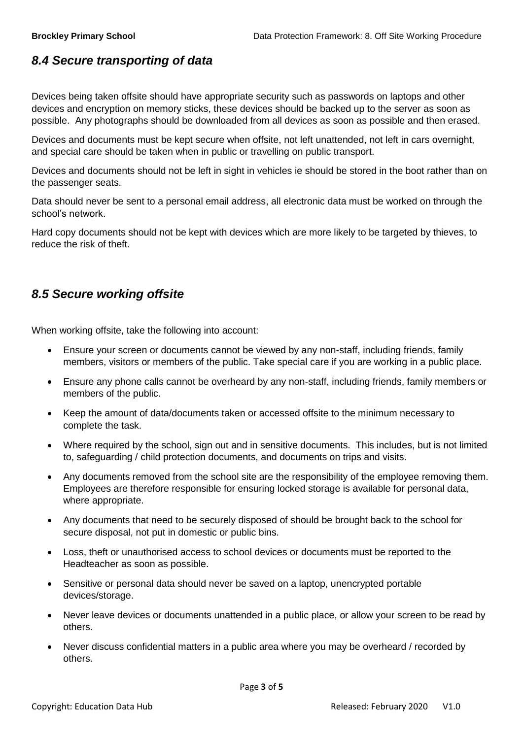#### <span id="page-3-0"></span>*8.4 Secure transporting of data*

Devices being taken offsite should have appropriate security such as passwords on laptops and other devices and encryption on memory sticks, these devices should be backed up to the server as soon as possible. Any photographs should be downloaded from all devices as soon as possible and then erased.

Devices and documents must be kept secure when offsite, not left unattended, not left in cars overnight, and special care should be taken when in public or travelling on public transport.

Devices and documents should not be left in sight in vehicles ie should be stored in the boot rather than on the passenger seats.

Data should never be sent to a personal email address, all electronic data must be worked on through the school's network.

Hard copy documents should not be kept with devices which are more likely to be targeted by thieves, to reduce the risk of theft.

#### <span id="page-3-1"></span>*8.5 Secure working offsite*

When working offsite, take the following into account:

- Ensure your screen or documents cannot be viewed by any non-staff, including friends, family members, visitors or members of the public. Take special care if you are working in a public place.
- Ensure any phone calls cannot be overheard by any non-staff, including friends, family members or members of the public.
- Keep the amount of data/documents taken or accessed offsite to the minimum necessary to complete the task.
- Where required by the school, sign out and in sensitive documents. This includes, but is not limited to, safeguarding / child protection documents, and documents on trips and visits.
- Any documents removed from the school site are the responsibility of the employee removing them. Employees are therefore responsible for ensuring locked storage is available for personal data, where appropriate.
- Any documents that need to be securely disposed of should be brought back to the school for secure disposal, not put in domestic or public bins.
- Loss, theft or unauthorised access to school devices or documents must be reported to the Headteacher as soon as possible.
- Sensitive or personal data should never be saved on a laptop, unencrypted portable devices/storage.
- Never leave devices or documents unattended in a public place, or allow your screen to be read by others.
- Never discuss confidential matters in a public area where you may be overheard / recorded by others.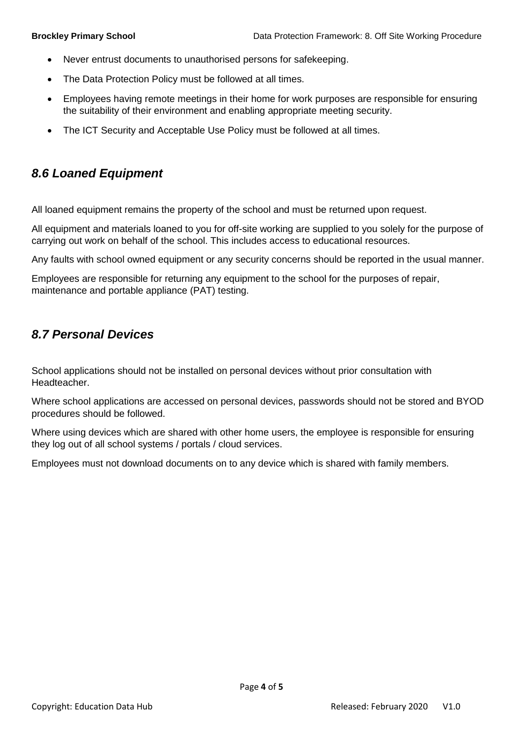- Never entrust documents to unauthorised persons for safekeeping.
- The Data Protection Policy must be followed at all times.
- Employees having remote meetings in their home for work purposes are responsible for ensuring the suitability of their environment and enabling appropriate meeting security.
- The ICT Security and Acceptable Use Policy must be followed at all times.

#### <span id="page-4-0"></span>*8.6 Loaned Equipment*

All loaned equipment remains the property of the school and must be returned upon request.

All equipment and materials loaned to you for off-site working are supplied to you solely for the purpose of carrying out work on behalf of the school. This includes access to educational resources.

Any faults with school owned equipment or any security concerns should be reported in the usual manner.

Employees are responsible for returning any equipment to the school for the purposes of repair, maintenance and portable appliance (PAT) testing.

#### <span id="page-4-1"></span>*8.7 Personal Devices*

School applications should not be installed on personal devices without prior consultation with **Headteacher** 

Where school applications are accessed on personal devices, passwords should not be stored and BYOD procedures should be followed.

Where using devices which are shared with other home users, the employee is responsible for ensuring they log out of all school systems / portals / cloud services.

Employees must not download documents on to any device which is shared with family members.